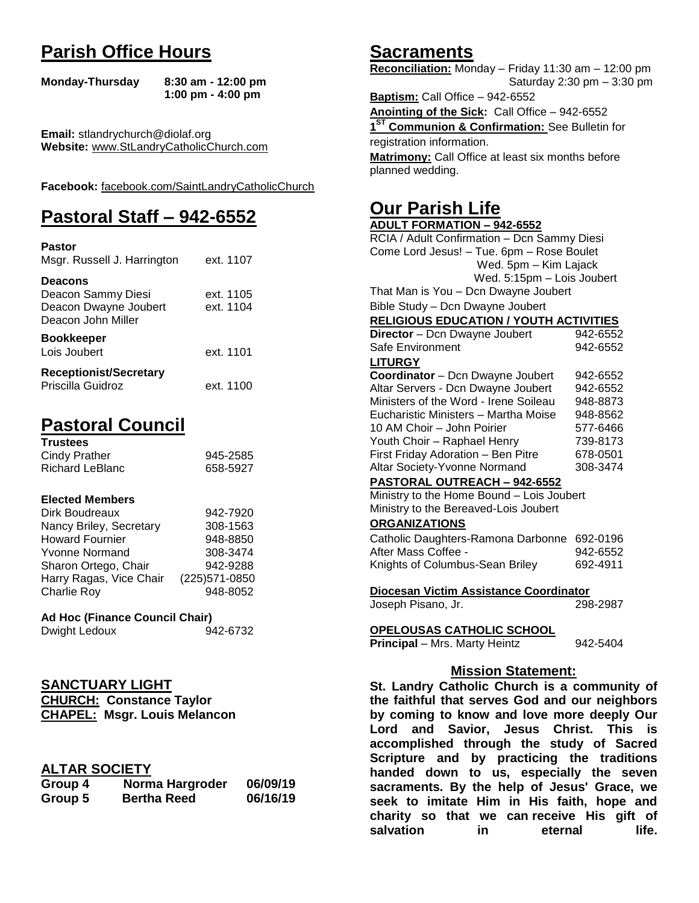# **Parish Office Hours**

```
Monday-Thursday 8:30 am - 12:00 pm
       1:00 pm - 4:00 pm
```
**Email:** stlandrychurch@diolaf.org **Website:** [www.StLandryCatholicChurch.com](http://www.stlandrycatholicchurch.com/)

**Facebook:** [facebook.com/SaintLandryCatholicChurch](http://facebook.com/SaintLandryCatholicChurch)

# **Pastoral Staff – 942-6552**

| <b>Pastor</b><br>Msgr. Russell J. Harrington                                        | ext. 1107              |
|-------------------------------------------------------------------------------------|------------------------|
| <b>Deacons</b><br>Deacon Sammy Diesi<br>Deacon Dwayne Joubert<br>Deacon John Miller | ext. 1105<br>ext. 1104 |
| <b>Bookkeeper</b><br>Lois Joubert                                                   | ext. 1101              |
| <b>Receptionist/Secretary</b><br>Priscilla Guidroz                                  | ext. 1100              |

# **Pastoral Council**

| <b>Trustees</b> |          |
|-----------------|----------|
| Cindy Prather   | 945-2585 |
| Richard LeBlanc | 658-5927 |

#### **Elected Members**

| Dirk Boudreaux          | 942-7920       |
|-------------------------|----------------|
| Nancy Briley, Secretary | 308-1563       |
| <b>Howard Fournier</b>  | 948-8850       |
| <b>Yvonne Normand</b>   | 308-3474       |
| Sharon Ortego, Chair    | 942-9288       |
| Harry Ragas, Vice Chair | (225) 571-0850 |
| <b>Charlie Roy</b>      | 948-8052       |

# **Ad Hoc (Finance Council Chair)**

| Dwight Ledoux | 942-6732 |
|---------------|----------|
|               |          |

# **SANCTUARY LIGHT**

**CHURCH: Constance Taylor CHAPEL: Msgr. Louis Melancon**

# **ALTAR SOCIETY**

| Group 4 | Norma Hargroder    | 06/09/19 |
|---------|--------------------|----------|
| Group 5 | <b>Bertha Reed</b> | 06/16/19 |

# **Sacraments**

**Reconciliation:** Monday – Friday 11:30 am – 12:00 pm Saturday 2:30 pm – 3:30 pm

**Baptism:** Call Office – 942-6552 **Anointing of the Sick:** Call Office – 942-6552 **1 ST Communion & Confirmation:** See Bulletin for registration information. **Matrimony:** Call Office at least six months before planned wedding.

# **Our Parish Life**

| <b>ADULT FORMATION - 942-6552</b>                 |          |  |
|---------------------------------------------------|----------|--|
| RCIA / Adult Confirmation - Dcn Sammy Diesi       |          |  |
| Come Lord Jesus! - Tue. 6pm - Rose Boulet         |          |  |
| Wed. 5pm - Kim Lajack                             |          |  |
| Wed. 5:15pm - Lois Joubert                        |          |  |
| That Man is You - Dcn Dwayne Joubert              |          |  |
| Bible Study - Dcn Dwayne Joubert                  |          |  |
| <b>RELIGIOUS EDUCATION / YOUTH ACTIVITIES</b>     |          |  |
| Director - Dcn Dwayne Joubert                     | 942-6552 |  |
| Safe Environment                                  | 942-6552 |  |
| <b>LITURGY</b>                                    |          |  |
| Coordinator - Dcn Dwayne Joubert<br>942-6552      |          |  |
| Altar Servers - Dcn Dwayne Joubert<br>942-6552    |          |  |
| Ministers of the Word - Irene Soileau<br>948-8873 |          |  |
| Eucharistic Ministers - Martha Moise<br>948-8562  |          |  |
| 10 AM Choir - John Poirier<br>577-6466            |          |  |
| Youth Choir - Raphael Henry                       | 739-8173 |  |
| First Friday Adoration - Ben Pitre                | 678-0501 |  |
| Altar Society-Yvonne Normand<br>308-3474          |          |  |
| PASTORAL OUTREACH - 942-6552                      |          |  |
| Ministry to the Home Bound - Lois Joubert         |          |  |
| Ministry to the Bereaved-Lois Joubert             |          |  |
| <b>ORGANIZATIONS</b>                              |          |  |
| Catholic Daughters-Ramona Darbonne                | 692-0196 |  |
| After Mass Coffee -                               | 942-6552 |  |
| Knights of Columbus-Sean Briley                   | 692-4911 |  |
| Diocesan Victim Assistance Coordinator            |          |  |
| Joseph Pisano, Jr.                                | 298-2987 |  |
| OPELOUSAS CATHOLIC SCHOOL                         |          |  |
| <b>Principal</b> - Mrs. Marty Heintz<br>942-5404  |          |  |
| <b>Mission Statement:</b>                         |          |  |
| St. Landry Catholic Church is a community of      |          |  |
| the faithful that serves God and our neighbors    |          |  |
| by coming to know and love more deeply Our        |          |  |

**the faithful that serves God and our neighbors by coming to know and love more deeply Our Lord and Savior, Jesus Christ. This is accomplished through the study of Sacred Scripture and by practicing the traditions handed down to us, especially the seven sacraments. By the help of Jesus' Grace, we seek to imitate Him in His faith, hope and charity so that we can receive His gift of salvation in** eternal life.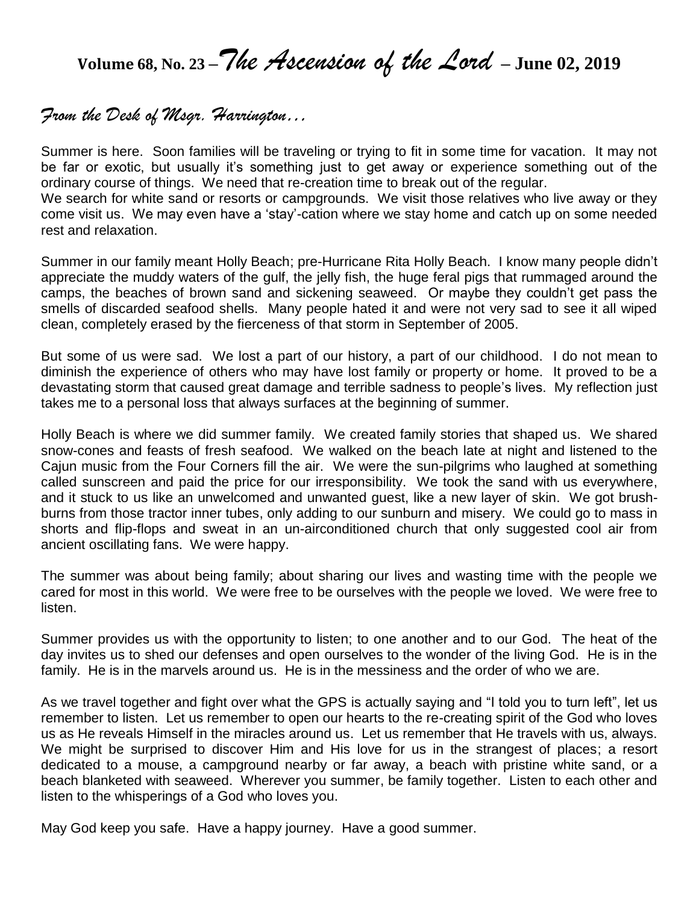**Volume 68, No. 23 – The Ascension of the Lord – June 02, 2019** 

# *From the Desk of Msgr. Harrington…*

Summer is here. Soon families will be traveling or trying to fit in some time for vacation. It may not be far or exotic, but usually it's something just to get away or experience something out of the ordinary course of things. We need that re-creation time to break out of the regular.

We search for white sand or resorts or campgrounds. We visit those relatives who live away or they come visit us. We may even have a 'stay'-cation where we stay home and catch up on some needed rest and relaxation.

Summer in our family meant Holly Beach; pre-Hurricane Rita Holly Beach. I know many people didn't appreciate the muddy waters of the gulf, the jelly fish, the huge feral pigs that rummaged around the camps, the beaches of brown sand and sickening seaweed. Or maybe they couldn't get pass the smells of discarded seafood shells. Many people hated it and were not very sad to see it all wiped clean, completely erased by the fierceness of that storm in September of 2005.

But some of us were sad. We lost a part of our history, a part of our childhood. I do not mean to diminish the experience of others who may have lost family or property or home. It proved to be a devastating storm that caused great damage and terrible sadness to people's lives. My reflection just takes me to a personal loss that always surfaces at the beginning of summer.

Holly Beach is where we did summer family. We created family stories that shaped us. We shared snow-cones and feasts of fresh seafood. We walked on the beach late at night and listened to the Cajun music from the Four Corners fill the air. We were the sun-pilgrims who laughed at something called sunscreen and paid the price for our irresponsibility. We took the sand with us everywhere, and it stuck to us like an unwelcomed and unwanted guest, like a new layer of skin. We got brushburns from those tractor inner tubes, only adding to our sunburn and misery. We could go to mass in shorts and flip-flops and sweat in an un-airconditioned church that only suggested cool air from ancient oscillating fans. We were happy.

The summer was about being family; about sharing our lives and wasting time with the people we cared for most in this world. We were free to be ourselves with the people we loved. We were free to listen.

Summer provides us with the opportunity to listen; to one another and to our God. The heat of the day invites us to shed our defenses and open ourselves to the wonder of the living God. He is in the family. He is in the marvels around us. He is in the messiness and the order of who we are.

As we travel together and fight over what the GPS is actually saying and "I told you to turn left", let us remember to listen. Let us remember to open our hearts to the re-creating spirit of the God who loves us as He reveals Himself in the miracles around us. Let us remember that He travels with us, always. We might be surprised to discover Him and His love for us in the strangest of places; a resort dedicated to a mouse, a campground nearby or far away, a beach with pristine white sand, or a beach blanketed with seaweed. Wherever you summer, be family together. Listen to each other and listen to the whisperings of a God who loves you.

May God keep you safe. Have a happy journey. Have a good summer.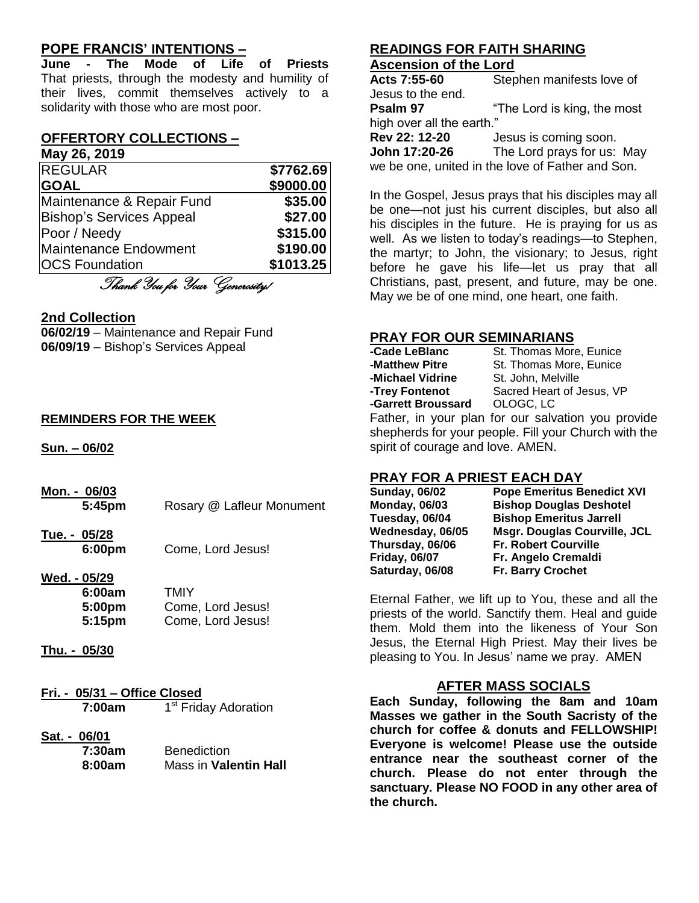# **POPE FRANCIS' INTENTIONS –**

**June - The Mode of Life of Priests** That priests, through the modesty and humility of their lives, commit themselves actively to a solidarity with those who are most poor.

#### **OFFERTORY COLLECTIONS –**

**May 26, 2019**

| <b>REGULAR</b>                  | \$7762.69 |
|---------------------------------|-----------|
| <b>GOAL</b>                     | \$9000.00 |
| Maintenance & Repair Fund       | \$35.00   |
| <b>Bishop's Services Appeal</b> | \$27.00   |
| Poor / Needy                    | \$315.00  |
| <b>Maintenance Endowment</b>    | \$190.00  |
| <b>OCS Foundation</b>           | \$1013.25 |

Thank You for Your Generosity!

#### **2nd Collection**

**06/02/19** – Maintenance and Repair Fund **06/09/19** – Bishop's Services Appeal

#### **REMINDERS FOR THE WEEK**

**Sun. – 06/02**

- **Mon. - 06/03 5:45pm** Rosary @ Lafleur Monument
- **Tue. - 05/28 6:00pm** Come, Lord Jesus!
- **Wed. - 05/29**

| 6:00am             | TMIY              |
|--------------------|-------------------|
| 5:00 <sub>pm</sub> | Come, Lord Jesus! |
| 5:15 <sub>pm</sub> | Come, Lord Jesus! |

- **Thu. - 05/30**
- **Fri. - 05/31 – Office Closed 7:00am** 1 1<sup>st</sup> Friday Adoration
- **Sat. - 06/01**

**7:30am** Benediction<br>**8:00am** Mass in Vale **Mass in Valentin Hall** 

## **READINGS FOR FAITH SHARING Ascension of the Lord**

**Acts 7:55-60** Stephen manifests love of Jesus to the end. **Psalm 97** "The Lord is king, the most high over all the earth." **Rev 22: 12-20** Jesus is coming soon. **John 17:20-26** The Lord prays for us: May we be one, united in the love of Father and Son.

In the Gospel, Jesus prays that his disciples may all be one—not just his current disciples, but also all his disciples in the future. He is praying for us as well. As we listen to today's readings—to Stephen, the martyr; to John, the visionary; to Jesus, right before he gave his life—let us pray that all Christians, past, present, and future, may be one. May we be of one mind, one heart, one faith.

# **PRAY FOR OUR SEMINARIANS**

| -Cade LeBlanc      | St. Thomas More, Eunice   |
|--------------------|---------------------------|
| -Matthew Pitre     | St. Thomas More, Eunice   |
| -Michael Vidrine   | St. John, Melville        |
| -Trey Fontenot     | Sacred Heart of Jesus, VP |
| -Garrett Broussard | OLOGC, LC                 |

Father, in your plan for our salvation you provide shepherds for your people. Fill your Church with the spirit of courage and love. AMEN.

# **PRAY FOR A PRIEST EACH DAY**

| <b>Sunday, 06/02</b> | <b>Pope Emeritus Benedict XVI</b>   |
|----------------------|-------------------------------------|
| <b>Monday, 06/03</b> | <b>Bishop Douglas Deshotel</b>      |
| Tuesday, 06/04       | <b>Bishop Emeritus Jarrell</b>      |
| Wednesday, 06/05     | <b>Msgr. Douglas Courville, JCL</b> |
| Thursday, 06/06      | <b>Fr. Robert Courville</b>         |
| <b>Friday, 06/07</b> | Fr. Angelo Cremaldi                 |
| Saturday, 06/08      | Fr. Barry Crochet                   |
|                      |                                     |

Eternal Father, we lift up to You, these and all the priests of the world. Sanctify them. Heal and guide them. Mold them into the likeness of Your Son Jesus, the Eternal High Priest. May their lives be pleasing to You. In Jesus' name we pray. AMEN

# **AFTER MASS SOCIALS**

**Each Sunday, following the 8am and 10am Masses we gather in the South Sacristy of the church for coffee & donuts and FELLOWSHIP! Everyone is welcome! Please use the outside entrance near the southeast corner of the church. Please do not enter through the sanctuary. Please NO FOOD in any other area of the church.**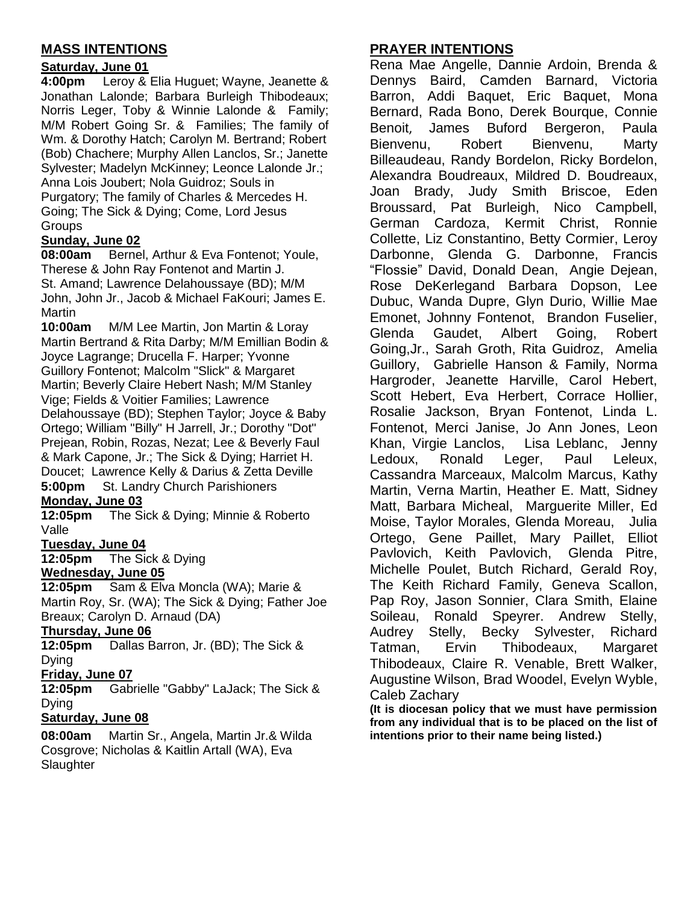# **MASS INTENTIONS**

# **Saturday, June 01**

**4:00pm** Leroy & Elia Huguet; Wayne, Jeanette & Jonathan Lalonde; Barbara Burleigh Thibodeaux; Norris Leger, Toby & Winnie Lalonde & Family; M/M Robert Going Sr. & Families; The family of Wm. & Dorothy Hatch; Carolyn M. Bertrand; Robert (Bob) Chachere; Murphy Allen Lanclos, Sr.; Janette Sylvester; Madelyn McKinney; Leonce Lalonde Jr.; Anna Lois Joubert; Nola Guidroz; Souls in Purgatory; The family of Charles & Mercedes H. Going; The Sick & Dying; Come, Lord Jesus **Groups** 

# **Sunday, June 02**

**08:00am** Bernel, Arthur & Eva Fontenot; Youle, Therese & John Ray Fontenot and Martin J. St. Amand; Lawrence Delahoussaye (BD); M/M John, John Jr., Jacob & Michael FaKouri; James E. Martin

**10:00am** M/M Lee Martin, Jon Martin & Loray Martin Bertrand & Rita Darby; M/M Emillian Bodin & Joyce Lagrange; Drucella F. Harper; Yvonne Guillory Fontenot; Malcolm "Slick" & Margaret Martin; Beverly Claire Hebert Nash; M/M Stanley Vige; Fields & Voitier Families; Lawrence Delahoussaye (BD); Stephen Taylor; Joyce & Baby Ortego; William "Billy" H Jarrell, Jr.; Dorothy "Dot" Prejean, Robin, Rozas, Nezat; Lee & Beverly Faul & Mark Capone, Jr.; The Sick & Dying; Harriet H. Doucet; Lawrence Kelly & Darius & Zetta Deville **5:00pm** St. Landry Church Parishioners

#### **Monday, June 03**

**12:05pm** The Sick & Dying; Minnie & Roberto Valle

#### **Tuesday, June 04**

**12:05pm** The Sick & Dying

# **Wednesday, June 05**

**12:05pm** Sam & Elva Moncla (WA); Marie & Martin Roy, Sr. (WA); The Sick & Dying; Father Joe Breaux; Carolyn D. Arnaud (DA)

#### **Thursday, June 06**

**12:05pm** Dallas Barron, Jr. (BD); The Sick & Dying

#### **Friday, June 07**

**12:05pm** Gabrielle "Gabby" LaJack; The Sick & Dying

# **Saturday, June 08**

**08:00am** Martin Sr., Angela, Martin Jr.& Wilda Cosgrove; Nicholas & Kaitlin Artall (WA), Eva **Slaughter** 

# **PRAYER INTENTIONS**

Rena Mae Angelle, Dannie Ardoin, Brenda & Dennys Baird, Camden Barnard, Victoria Barron, Addi Baquet, Eric Baquet, Mona Bernard, Rada Bono, Derek Bourque, Connie Benoit, James Buford Bergeron, Paula Bienvenu, Robert Bienvenu, Marty Billeaudeau, Randy Bordelon, Ricky Bordelon, Alexandra Boudreaux, Mildred D. Boudreaux, Joan Brady, Judy Smith Briscoe, Eden Broussard, Pat Burleigh, Nico Campbell, German Cardoza, Kermit Christ, Ronnie Collette, Liz Constantino, Betty Cormier, Leroy Darbonne, Glenda G. Darbonne, Francis "Flossie" David, Donald Dean, Angie Dejean, Rose DeKerlegand Barbara Dopson, Lee Dubuc, Wanda Dupre, Glyn Durio, Willie Mae Emonet, Johnny Fontenot, Brandon Fuselier, Glenda Gaudet, Albert Going, Robert Going,Jr., Sarah Groth, Rita Guidroz, Amelia Guillory, Gabrielle Hanson & Family, Norma Hargroder, Jeanette Harville, Carol Hebert, Scott Hebert, Eva Herbert, Corrace Hollier, Rosalie Jackson, Bryan Fontenot, Linda L. Fontenot, Merci Janise, Jo Ann Jones, Leon Khan, Virgie Lanclos, Lisa Leblanc, Jenny Ledoux, Ronald Leger, Paul Leleux, Cassandra Marceaux, Malcolm Marcus, Kathy Martin, Verna Martin, Heather E. Matt, Sidney Matt, Barbara Micheal, Marguerite Miller, Ed Moise, Taylor Morales, Glenda Moreau, Julia Ortego, Gene Paillet, Mary Paillet, Elliot Pavlovich, Keith Pavlovich, Glenda Pitre, Michelle Poulet, Butch Richard, Gerald Roy, The Keith Richard Family, Geneva Scallon, Pap Roy, Jason Sonnier, Clara Smith, Elaine Soileau, Ronald Speyrer. Andrew Stelly, Audrey Stelly, Becky Sylvester, Richard Tatman, Ervin Thibodeaux, Margaret Thibodeaux, Claire R. Venable, Brett Walker, Augustine Wilson, Brad Woodel, Evelyn Wyble, Caleb Zachary

**(It is diocesan policy that we must have permission from any individual that is to be placed on the list of intentions prior to their name being listed.)**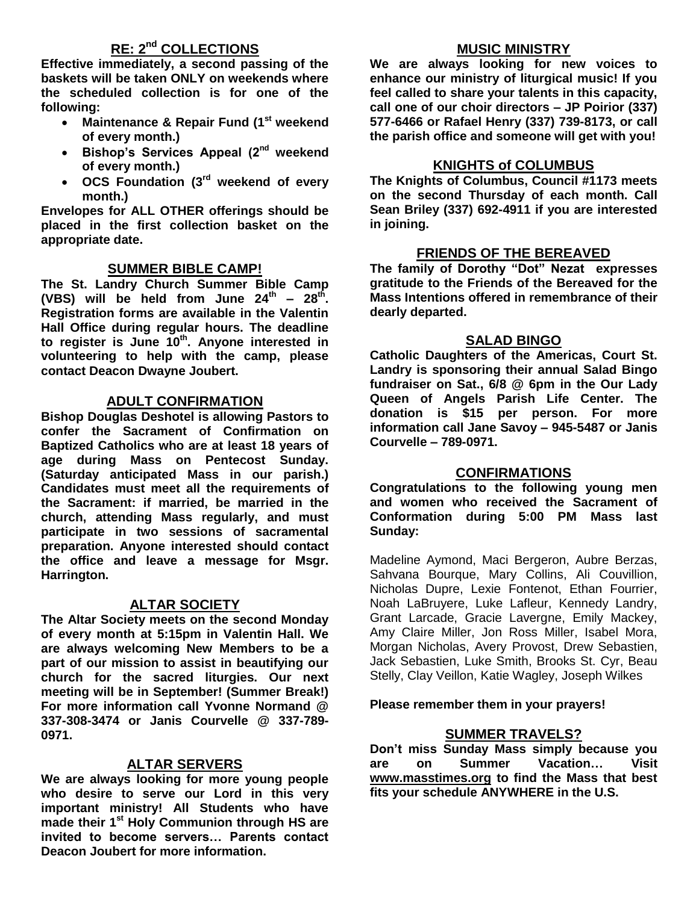# **RE: 2nd COLLECTIONS**

**Effective immediately, a second passing of the baskets will be taken ONLY on weekends where the scheduled collection is for one of the following:**

- **Maintenance & Repair Fund (1st weekend of every month.)**
- **Bishop's Services Appeal (2nd weekend of every month.)**
- **OCS Foundation (3rd weekend of every month.)**

**Envelopes for ALL OTHER offerings should be placed in the first collection basket on the appropriate date.**

# **SUMMER BIBLE CAMP!**

**The St. Landry Church Summer Bible Camp**  (VBS) will be held from June  $24^{th}$  –  $28^{th}$ . **Registration forms are available in the Valentin Hall Office during regular hours. The deadline to register is June 10th . Anyone interested in volunteering to help with the camp, please contact Deacon Dwayne Joubert.** 

#### **ADULT CONFIRMATION**

**Bishop Douglas Deshotel is allowing Pastors to confer the Sacrament of Confirmation on Baptized Catholics who are at least 18 years of age during Mass on Pentecost Sunday. (Saturday anticipated Mass in our parish.) Candidates must meet all the requirements of the Sacrament: if married, be married in the church, attending Mass regularly, and must participate in two sessions of sacramental preparation. Anyone interested should contact the office and leave a message for Msgr. Harrington.** 

#### **ALTAR SOCIETY**

**The Altar Society meets on the second Monday of every month at 5:15pm in Valentin Hall. We are always welcoming New Members to be a part of our mission to assist in beautifying our church for the sacred liturgies. Our next meeting will be in September! (Summer Break!) For more information call Yvonne Normand @ 337-308-3474 or Janis Courvelle @ 337-789- 0971.** 

# **ALTAR SERVERS**

**We are always looking for more young people who desire to serve our Lord in this very important ministry! All Students who have made their 1st Holy Communion through HS are invited to become servers… Parents contact Deacon Joubert for more information.**

#### **MUSIC MINISTRY**

**We are always looking for new voices to enhance our ministry of liturgical music! If you feel called to share your talents in this capacity, call one of our choir directors – JP Poirior (337) 577-6466 or Rafael Henry (337) 739-8173, or call the parish office and someone will get with you!**

#### **KNIGHTS of COLUMBUS**

**The Knights of Columbus, Council #1173 meets on the second Thursday of each month. Call Sean Briley (337) 692-4911 if you are interested in joining.** 

#### **FRIENDS OF THE BEREAVED**

**The family of Dorothy "Dot" Nezat expresses gratitude to the Friends of the Bereaved for the Mass Intentions offered in remembrance of their dearly departed.**

#### **SALAD BINGO**

**Catholic Daughters of the Americas, Court St. Landry is sponsoring their annual Salad Bingo fundraiser on Sat., 6/8 @ 6pm in the Our Lady Queen of Angels Parish Life Center. The donation is \$15 per person. For more information call Jane Savoy – 945-5487 or Janis Courvelle – 789-0971.** 

#### **CONFIRMATIONS**

**Congratulations to the following young men and women who received the Sacrament of Conformation during 5:00 PM Mass last Sunday:**

Madeline Aymond, Maci Bergeron, Aubre Berzas, Sahvana Bourque, Mary Collins, Ali Couvillion, Nicholas Dupre, Lexie Fontenot, Ethan Fourrier, Noah LaBruyere, Luke Lafleur, Kennedy Landry, Grant Larcade, Gracie Lavergne, Emily Mackey, Amy Claire Miller, Jon Ross Miller, Isabel Mora, Morgan Nicholas, Avery Provost, Drew Sebastien, Jack Sebastien, Luke Smith, Brooks St. Cyr, Beau Stelly, Clay Veillon, Katie Wagley, Joseph Wilkes

#### **Please remember them in your prayers!**

#### **SUMMER TRAVELS?**

**Don't miss Sunday Mass simply because you are on Summer Vacation… Visit [www.masstimes.org](http://www.masstimes.org/) to find the Mass that best fits your schedule ANYWHERE in the U.S.**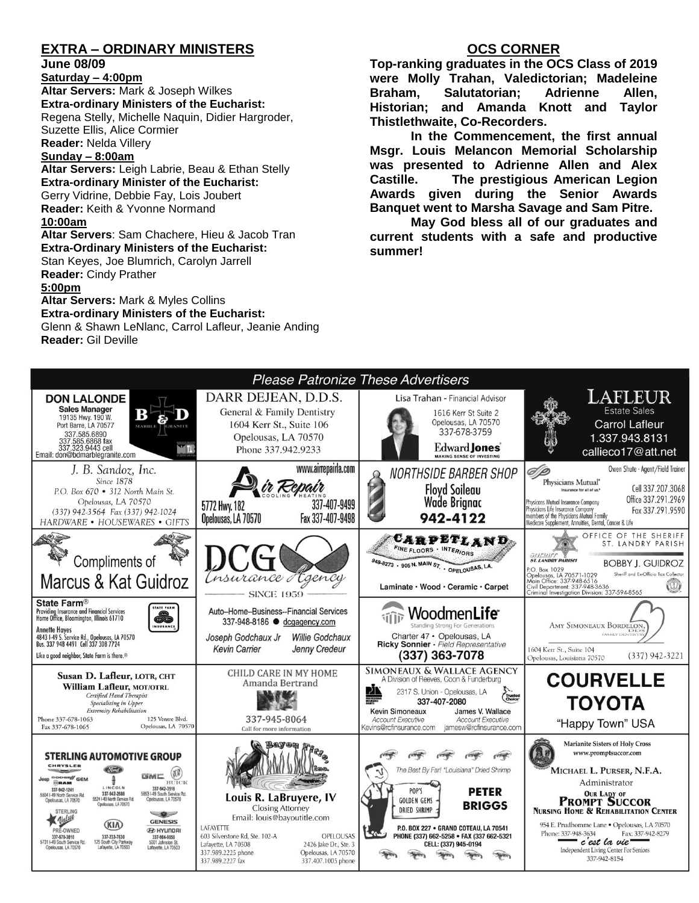# **EXTRA – ORDINARY MINISTERS**

**June 08/09**

**Saturday – 4:00pm** 

**Altar Servers:** Mark & Joseph Wilkes **Extra-ordinary Ministers of the Eucharist:**  Regena Stelly, Michelle Naquin, Didier Hargroder, Suzette Ellis, Alice Cormier **Reader:** Nelda Villery

**Sunday – 8:00am**

**Altar Servers:** Leigh Labrie, Beau & Ethan Stelly **Extra-ordinary Minister of the Eucharist:** Gerry Vidrine, Debbie Fay, Lois Joubert **Reader:** Keith & Yvonne Normand **10:00am**

**Altar Servers**: Sam Chachere, Hieu & Jacob Tran **Extra-Ordinary Ministers of the Eucharist:** Stan Keyes, Joe Blumrich, Carolyn Jarrell **Reader:** Cindy Prather

**5:00pm** 

**Altar Servers:** Mark & Myles Collins **Extra-ordinary Ministers of the Eucharist:**

Glenn & Shawn LeNlanc, Carrol Lafleur, Jeanie Anding **Reader:** Gil Deville

# **OCS CORNER**

**Top-ranking graduates in the OCS Class of 2019 were Molly Trahan, Valedictorian; Madeleine Braham, Salutatorian; Adrienne Allen, Historian; and Amanda Knott and Taylor Thistlethwaite, Co-Recorders.** 

**In the Commencement, the first annual Msgr. Louis Melancon Memorial Scholarship was presented to Adrienne Allen and Alex Castille. The prestigious American Legion Awards given during the Senior Awards Banquet went to Marsha Savage and Sam Pitre.** 

**May God bless all of our graduates and current students with a safe and productive summer!**